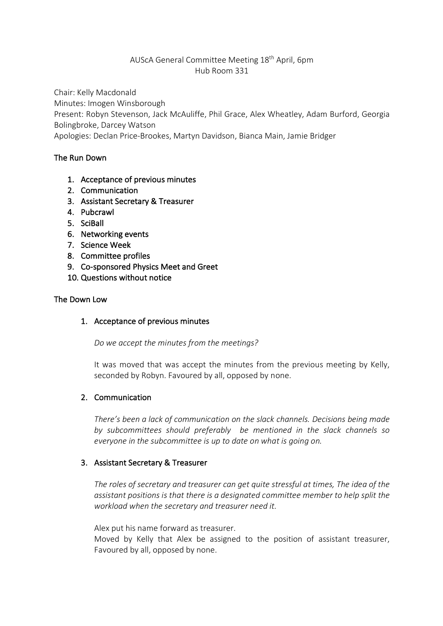## AUScA General Committee Meeting 18th April, 6pm Hub Room 331

Chair: Kelly Macdonald Minutes: Imogen Winsborough Present: Robyn Stevenson, Jack McAuliffe, Phil Grace, Alex Wheatley, Adam Burford, Georgia

Bolingbroke, Darcey Watson

Apologies: Declan Price-Brookes, Martyn Davidson, Bianca Main, Jamie Bridger

# The Run Down

- 1. Acceptance of previous minutes
- 2. Communication
- 3. Assistant Secretary & Treasurer
- 4. Pubcrawl
- 5. SciBall
- 6. Networking events
- 7. Science Week
- 8. Committee profiles
- 9. Co-sponsored Physics Meet and Greet
- 10. Questions without notice

## The Down Low

## 1. Acceptance of previous minutes

*Do we accept the minutes from the meetings?*

It was moved that was accept the minutes from the previous meeting by Kelly, seconded by Robyn. Favoured by all, opposed by none.

## 2. Communication

*There's been a lack of communication on the slack channels. Decisions being made by subcommittees should preferably be mentioned in the slack channels so everyone in the subcommittee is up to date on what is going on.*

## 3. Assistant Secretary & Treasurer

*The roles of secretary and treasurer can get quite stressful at times, The idea of the assistant positions is that there is a designated committee member to help split the workload when the secretary and treasurer need it.* 

Alex put his name forward as treasurer.

Moved by Kelly that Alex be assigned to the position of assistant treasurer, Favoured by all, opposed by none.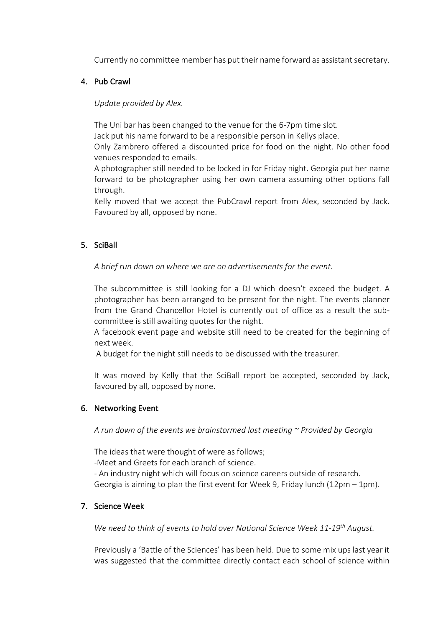Currently no committee member has put their name forward as assistant secretary.

#### 4. Pub Crawl

*Update provided by Alex.*

The Uni bar has been changed to the venue for the 6-7pm time slot.

Jack put his name forward to be a responsible person in Kellys place.

Only Zambrero offered a discounted price for food on the night. No other food venues responded to emails.

A photographer still needed to be locked in for Friday night. Georgia put her name forward to be photographer using her own camera assuming other options fall through.

Kelly moved that we accept the PubCrawl report from Alex, seconded by Jack. Favoured by all, opposed by none.

## 5. SciBall

*A brief run down on where we are on advertisements for the event.*

The subcommittee is still looking for a DJ which doesn't exceed the budget. A photographer has been arranged to be present for the night. The events planner from the Grand Chancellor Hotel is currently out of office as a result the subcommittee is still awaiting quotes for the night.

A facebook event page and website still need to be created for the beginning of next week.

A budget for the night still needs to be discussed with the treasurer.

It was moved by Kelly that the SciBall report be accepted, seconded by Jack, favoured by all, opposed by none.

## 6. Networking Event

*A run down of the events we brainstormed last meeting ~ Provided by Georgia* 

The ideas that were thought of were as follows;

-Meet and Greets for each branch of science.

- An industry night which will focus on science careers outside of research. Georgia is aiming to plan the first event for Week 9, Friday lunch (12pm – 1pm).

## 7. Science Week

*We need to think of events to hold over National Science Week 11-19th August.*

Previously a 'Battle of the Sciences' has been held. Due to some mix ups last year it was suggested that the committee directly contact each school of science within